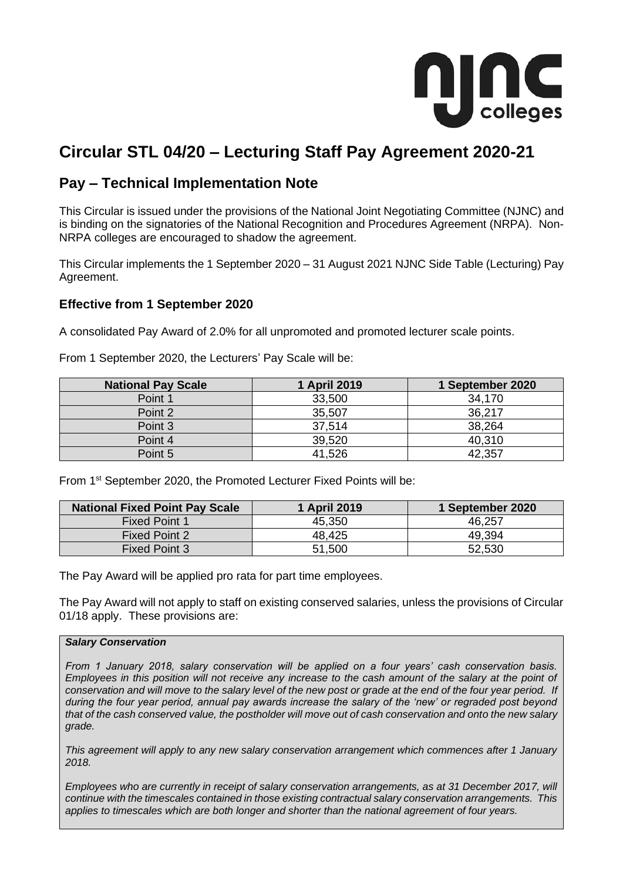

# **Circular STL 04/20 – Lecturing Staff Pay Agreement 2020-21**

## **Pay – Technical Implementation Note**

This Circular is issued under the provisions of the National Joint Negotiating Committee (NJNC) and is binding on the signatories of the National Recognition and Procedures Agreement (NRPA). Non-NRPA colleges are encouraged to shadow the agreement.

This Circular implements the 1 September 2020 – 31 August 2021 NJNC Side Table (Lecturing) Pay Agreement.

### **Effective from 1 September 2020**

A consolidated Pay Award of 2.0% for all unpromoted and promoted lecturer scale points.

From 1 September 2020, the Lecturers' Pay Scale will be:

| <b>National Pay Scale</b> | 1 April 2019 | 1 September 2020 |
|---------------------------|--------------|------------------|
| Point 1                   | 33,500       | 34,170           |
| Point 2                   | 35,507       | 36,217           |
| Point 3                   | 37,514       | 38,264           |
| Point 4                   | 39,520       | 40,310           |
| Point 5                   | 41,526       | 42,357           |

From 1<sup>st</sup> September 2020, the Promoted Lecturer Fixed Points will be:

| <b>National Fixed Point Pay Scale</b> | 1 April 2019 | 1 September 2020 |
|---------------------------------------|--------------|------------------|
| <b>Fixed Point 1</b>                  | 45,350       | 46,257           |
| <b>Fixed Point 2</b>                  | 48,425       | 49,394           |
| Fixed Point 3                         | 51,500       | 52,530           |

The Pay Award will be applied pro rata for part time employees.

The Pay Award will not apply to staff on existing conserved salaries, unless the provisions of Circular 01/18 apply. These provisions are:

#### *Salary Conservation*

*From 1 January 2018, salary conservation will be applied on a four years' cash conservation basis. Employees in this position will not receive any increase to the cash amount of the salary at the point of*  conservation and will move to the salary level of the new post or grade at the end of the four year period. If *during the four year period, annual pay awards increase the salary of the 'new' or regraded post beyond that of the cash conserved value, the postholder will move out of cash conservation and onto the new salary grade.* 

*This agreement will apply to any new salary conservation arrangement which commences after 1 January 2018.* 

*Employees who are currently in receipt of salary conservation arrangements, as at 31 December 2017, will continue with the timescales contained in those existing contractual salary conservation arrangements. This applies to timescales which are both longer and shorter than the national agreement of four years.*